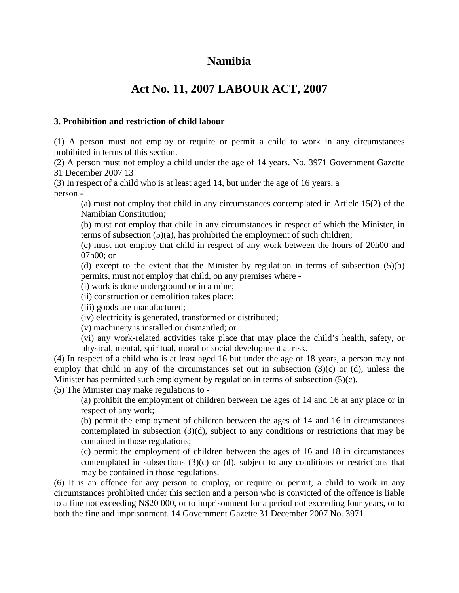# **Namibia**

# **Act No. 11, 2007 LABOUR ACT, 2007**

### **3. Prohibition and restriction of child labour**

(1) A person must not employ or require or permit a child to work in any circumstances prohibited in terms of this section.

(2) A person must not employ a child under the age of 14 years. No. 3971 Government Gazette 31 December 2007 13

(3) In respect of a child who is at least aged 14, but under the age of 16 years, a person -

(a) must not employ that child in any circumstances contemplated in Article 15(2) of the Namibian Constitution;

(b) must not employ that child in any circumstances in respect of which the Minister, in terms of subsection (5)(a), has prohibited the employment of such children;

(c) must not employ that child in respect of any work between the hours of 20h00 and 07h00; or

(d) except to the extent that the Minister by regulation in terms of subsection (5)(b) permits, must not employ that child, on any premises where -

(i) work is done underground or in a mine;

(ii) construction or demolition takes place;

(iii) goods are manufactured;

(iv) electricity is generated, transformed or distributed;

(v) machinery is installed or dismantled; or

(vi) any work-related activities take place that may place the child's health, safety, or physical, mental, spiritual, moral or social development at risk.

(4) In respect of a child who is at least aged 16 but under the age of 18 years, a person may not employ that child in any of the circumstances set out in subsection  $(3)(c)$  or  $(d)$ , unless the Minister has permitted such employment by regulation in terms of subsection (5)(c).

(5) The Minister may make regulations to -

(a) prohibit the employment of children between the ages of 14 and 16 at any place or in respect of any work;

(b) permit the employment of children between the ages of 14 and 16 in circumstances contemplated in subsection (3)(d), subject to any conditions or restrictions that may be contained in those regulations;

(c) permit the employment of children between the ages of 16 and 18 in circumstances contemplated in subsections  $(3)(c)$  or  $(d)$ , subject to any conditions or restrictions that may be contained in those regulations.

(6) It is an offence for any person to employ, or require or permit, a child to work in any circumstances prohibited under this section and a person who is convicted of the offence is liable to a fine not exceeding N\$20 000, or to imprisonment for a period not exceeding four years, or to both the fine and imprisonment. 14 Government Gazette 31 December 2007 No. 3971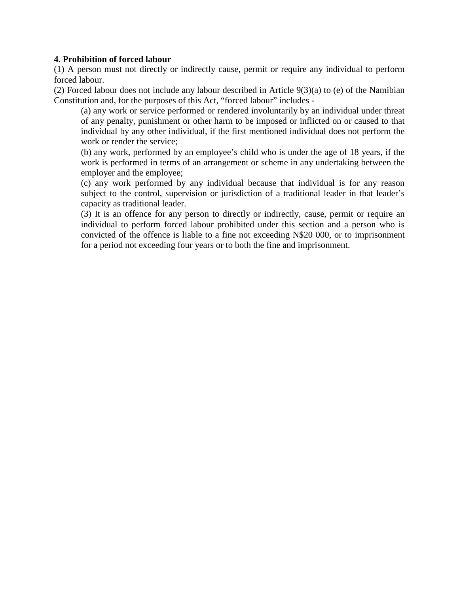#### **4. Prohibition of forced labour**

(1) A person must not directly or indirectly cause, permit or require any individual to perform forced labour.

(2) Forced labour does not include any labour described in Article 9(3)(a) to (e) of the Namibian Constitution and, for the purposes of this Act, "forced labour" includes -

(a) any work or service performed or rendered involuntarily by an individual under threat of any penalty, punishment or other harm to be imposed or inflicted on or caused to that individual by any other individual, if the first mentioned individual does not perform the work or render the service;

(b) any work, performed by an employee's child who is under the age of 18 years, if the work is performed in terms of an arrangement or scheme in any undertaking between the employer and the employee;

(c) any work performed by any individual because that individual is for any reason subject to the control, supervision or jurisdiction of a traditional leader in that leader's capacity as traditional leader.

(3) It is an offence for any person to directly or indirectly, cause, permit or require an individual to perform forced labour prohibited under this section and a person who is convicted of the offence is liable to a fine not exceeding N\$20 000, or to imprisonment for a period not exceeding four years or to both the fine and imprisonment.